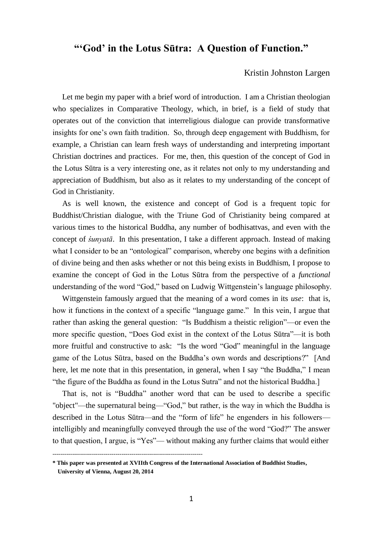# **"'God' in the Lotus Sūtra: A Question of Function."**

# Kristin Johnston Largen

 Let me begin my paper with a brief word of introduction. I am a Christian theologian who specializes in Comparative Theology, which, in brief, is a field of study that operates out of the conviction that interreligious dialogue can provide transformative insights for one's own faith tradition. So, through deep engagement with Buddhism, for example, a Christian can learn fresh ways of understanding and interpreting important Christian doctrines and practices. For me, then, this question of the concept of God in the Lotus Sūtra is a very interesting one, as it relates not only to my understanding and appreciation of Buddhism, but also as it relates to my understanding of the concept of God in Christianity.

 As is well known, the existence and concept of God is a frequent topic for Buddhist/Christian dialogue, with the Triune God of Christianity being compared at various times to the historical Buddha, any number of bodhisattvas, and even with the concept of *śunyatā*. In this presentation, I take a different approach. Instead of making what I consider to be an "ontological" comparison, whereby one begins with a definition of divine being and then asks whether or not this being exists in Buddhism, I propose to examine the concept of God in the Lotus Sūtra from the perspective of a *functional*  understanding of the word "God," based on Ludwig Wittgenstein's language philosophy.

 Wittgenstein famously argued that the meaning of a word comes in its *use*: that is, how it functions in the context of a specific "language game." In this vein, I argue that rather than asking the general question: "Is Buddhism a theistic religion"—or even the more specific question, "Does God exist in the context of the Lotus Sūtra"—it is both more fruitful and constructive to ask: "Is the word "God" meaningful in the language game of the Lotus Sūtra, based on the Buddha's own words and descriptions?" [And here, let me note that in this presentation, in general, when I say "the Buddha," I mean "the figure of the Buddha as found in the Lotus Sutra" and not the historical Buddha.]

 That is, not is "Buddha" another word that can be used to describe a specific "object"—the supernatural being—"God," but rather, is the way in which the Buddha is described in the Lotus Sūtra—and the "form of life" he engenders in his followers intelligibly and meaningfully conveyed through the use of the word "God?" The answer to that question, I argue, is "Yes"— without making any further claims that would either

<sup>----------------------------------------------------------------------------</sup> **\* This paper was presented at XVIIth Congress of the International Association of Buddhist Studies,** 

**University of Vienna, August 20, 2014**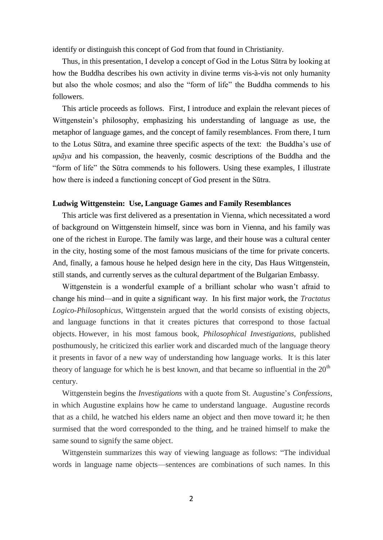identify or distinguish this concept of God from that found in Christianity.

 Thus, in this presentation, I develop a concept of God in the Lotus Sūtra by looking at how the Buddha describes his own activity in divine terms vis-à-vis not only humanity but also the whole cosmos; and also the "form of life" the Buddha commends to his followers.

 This article proceeds as follows. First, I introduce and explain the relevant pieces of Wittgenstein's philosophy, emphasizing his understanding of language as use, the metaphor of language games, and the concept of family resemblances. From there, I turn to the Lotus Sūtra, and examine three specific aspects of the text: the Buddha's use of *upāya* and his compassion, the heavenly, cosmic descriptions of the Buddha and the "form of life" the Sūtra commends to his followers. Using these examples, I illustrate how there is indeed a functioning concept of God present in the Sūtra.

#### **Ludwig Wittgenstein: Use, Language Games and Family Resemblances**

 This article was first delivered as a presentation in Vienna, which necessitated a word of background on Wittgenstein himself, since was born in Vienna, and his family was one of the richest in Europe. The family was large, and their house was a cultural center in the city, hosting some of the most famous musicians of the time for private concerts. And, finally, a famous house he helped design here in the city, Das Haus Wittgenstein, still stands, and currently serves as the cultural department of the Bulgarian Embassy.

 Wittgenstein is a wonderful example of a brilliant scholar who wasn't afraid to change his mind—and in quite a significant way. In his first major work, the *Tractatus Logico-Philosophicus,* Wittgenstein argued that the world consists of existing objects, and language functions in that it creates pictures that correspond to those factual objects. However, in his most famous book, *Philosophical Investigations,* published posthumously, he criticized this earlier work and discarded much of the language theory it presents in favor of a new way of understanding how language works. It is this later theory of language for which he is best known, and that became so influential in the  $20<sup>th</sup>$ century.

 Wittgenstein begins the *Investigations* with a quote from St. Augustine's *Confessions*, in which Augustine explains how he came to understand language. Augustine records that as a child, he watched his elders name an object and then move toward it; he then surmised that the word corresponded to the thing, and he trained himself to make the same sound to signify the same object.

 Wittgenstein summarizes this way of viewing language as follows: "The individual words in language name objects—sentences are combinations of such names. In this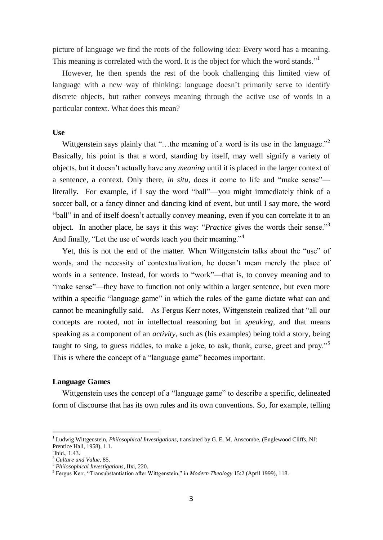picture of language we find the roots of the following idea: Every word has a meaning. This meaning is correlated with the word. It is the object for which the word stands."<sup>1</sup>

 However, he then spends the rest of the book challenging this limited view of language with a new way of thinking: language doesn't primarily serve to identify discrete objects, but rather conveys meaning through the active use of words in a particular context. What does this mean?

## **Use**

Wittgenstein says plainly that "...the meaning of a word is its use in the language."<sup>2</sup> Basically, his point is that a word, standing by itself, may well signify a variety of objects, but it doesn't actually have any *meaning* until it is placed in the larger context of a sentence, a context. Only there, *in situ,* does it come to life and "make sense" literally. For example, if I say the word "ball"—you might immediately think of a soccer ball, or a fancy dinner and dancing kind of event, but until I say more, the word "ball" in and of itself doesn't actually convey meaning, even if you can correlate it to an object. In another place, he says it this way: "*Practice* gives the words their sense."<sup>3</sup> And finally, "Let the use of words teach you their meaning."<sup>4</sup>

 Yet, this is not the end of the matter. When Wittgenstein talks about the "use" of words, and the necessity of contextualization, he doesn't mean merely the place of words in a sentence. Instead, for words to "work"—that is, to convey meaning and to "make sense"—they have to function not only within a larger sentence, but even more within a specific "language game" in which the rules of the game dictate what can and cannot be meaningfully said. As Fergus Kerr notes, Wittgenstein realized that "all our concepts are rooted, not in intellectual reasoning but in *speaking*, and that means speaking as a component of an *activity*, such as (his examples) being told a story, being taught to sing, to guess riddles, to make a joke, to ask, thank, curse, greet and pray."<sup>5</sup> This is where the concept of a "language game" becomes important.

#### **Language Games**

 Wittgenstein uses the concept of a "language game" to describe a specific, delineated form of discourse that has its own rules and its own conventions. So, for example, telling

1

<sup>1</sup> Ludwig Wittgenstein, *Philosophical Investigations,* translated by G. E. M. Anscombe, (Englewood Cliffs, NJ: Prentice Hall, 1958), 1.1.

<sup>2</sup> Ibid., 1.43.

<sup>3</sup> *Culture and Value,* 85.

<sup>4</sup> *Philosophical Investigations,* IIxi, 220.

<sup>5</sup> Fergus Kerr, "Transubstantiation after Wittgenstein," in *Modern Theology* 15:2 (April 1999), 118.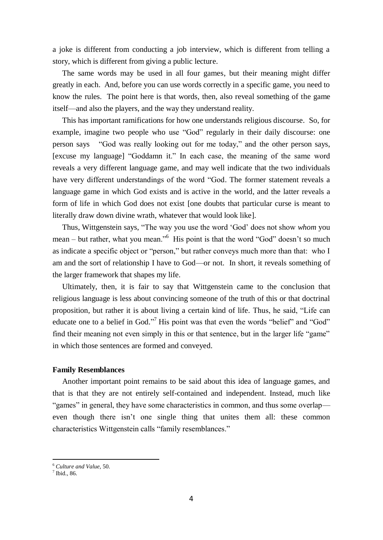a joke is different from conducting a job interview, which is different from telling a story, which is different from giving a public lecture.

 The same words may be used in all four games, but their meaning might differ greatly in each. And, before you can use words correctly in a specific game, you need to know the rules. The point here is that words, then, also reveal something of the game itself—and also the players, and the way they understand reality.

 This has important ramifications for how one understands religious discourse. So, for example, imagine two people who use "God" regularly in their daily discourse: one person says "God was really looking out for me today," and the other person says, [excuse my language] "Goddamn it." In each case, the meaning of the same word reveals a very different language game, and may well indicate that the two individuals have very different understandings of the word "God. The former statement reveals a language game in which God exists and is active in the world, and the latter reveals a form of life in which God does not exist [one doubts that particular curse is meant to literally draw down divine wrath, whatever that would look like].

 Thus, Wittgenstein says, "The way you use the word 'God' does not show *whom* you mean – but rather, what you mean."<sup>6</sup> His point is that the word "God" doesn't so much as indicate a specific object or "person," but rather conveys much more than that: who I am and the sort of relationship I have to God—or not. In short, it reveals something of the larger framework that shapes my life.

 Ultimately, then, it is fair to say that Wittgenstein came to the conclusion that religious language is less about convincing someone of the truth of this or that doctrinal proposition, but rather it is about living a certain kind of life. Thus, he said, "Life can educate one to a belief in God."<sup>7</sup> His point was that even the words "belief" and "God" find their meaning not even simply in this or that sentence, but in the larger life "game" in which those sentences are formed and conveyed.

#### **Family Resemblances**

 Another important point remains to be said about this idea of language games, and that is that they are not entirely self-contained and independent. Instead, much like "games" in general, they have some characteristics in common, and thus some overlap even though there isn't one single thing that unites them all: these common characteristics Wittgenstein calls "family resemblances."

1

<sup>6</sup> *Culture and Value,* 50.

<sup>7</sup> Ibid.*,* 86.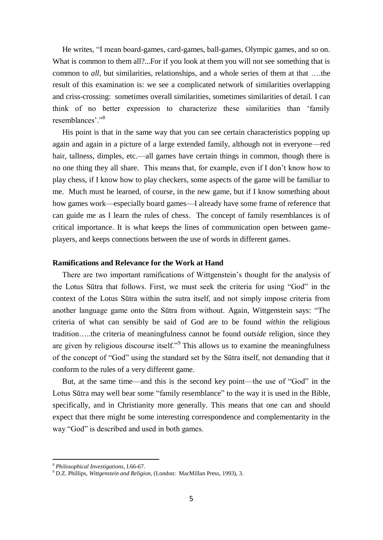He writes, "I mean board-games, card-games, ball-games, Olympic games, and so on. What is common to them all?...For if you look at them you will not see something that is common to *all,* but similarities, relationships, and a whole series of them at that ….the result of this examination is: we see a complicated network of similarities overlapping and criss-crossing: sometimes overall similarities, sometimes similarities of detail. I can think of no better expression to characterize these similarities than 'family resemblances'."<sup>8</sup>

 His point is that in the same way that you can see certain characteristics popping up again and again in a picture of a large extended family, although not in everyone—red hair, tallness, dimples, etc.—all games have certain things in common, though there is no one thing they all share. This means that, for example, even if I don't know how to play chess, if I know how to play checkers, some aspects of the game will be familiar to me. Much must be learned, of course, in the new game, but if I know something about how games work—especially board games—I already have some frame of reference that can guide me as I learn the rules of chess. The concept of family resemblances is of critical importance. It is what keeps the lines of communication open between gameplayers, and keeps connections between the use of words in different games.

#### **Ramifications and Relevance for the Work at Hand**

 There are two important ramifications of Wittgenstein's thought for the analysis of the Lotus Sūtra that follows. First, we must seek the criteria for using "God" in the context of the Lotus Sūtra within the sutra itself, and not simply impose criteria from another language game onto the Sūtra from without. Again, Wittgenstein says: "The criteria of what can sensibly be said of God are to be found *within* the religious tradition…..the criteria of meaningfulness cannot be found *outside* religion, since they are given by religious discourse itself."<sup>9</sup> This allows us to examine the meaningfulness of the concept of "God" using the standard set by the Sūtra itself, not demanding that it conform to the rules of a very different game.

 But, at the same time—and this is the second key point—the use of "God" in the Lotus Sūtra may well bear some "family resemblance" to the way it is used in the Bible, specifically, and in Christianity more generally. This means that one can and should expect that there might be some interesting correspondence and complementarity in the way "God" is described and used in both games.

1

<sup>8</sup> *Philosophical Investigations,* I.66-67.

<sup>9</sup> D.Z. Phillips, *Wittgenstein and Religion,* (London: MacMillan Press, 1993), 3.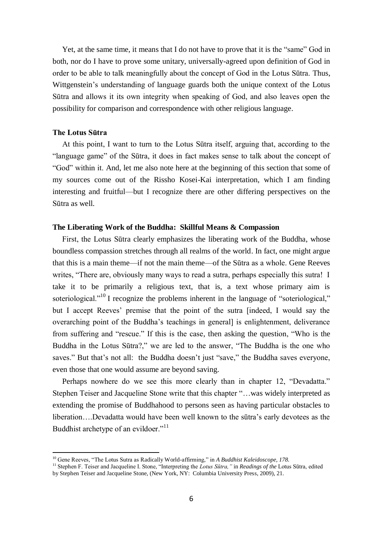Yet, at the same time, it means that I do not have to prove that it is the "same" God in both, nor do I have to prove some unitary, universally-agreed upon definition of God in order to be able to talk meaningfully about the concept of God in the Lotus Sūtra. Thus, Wittgenstein's understanding of language guards both the unique context of the Lotus Sūtra and allows it its own integrity when speaking of God, and also leaves open the possibility for comparison and correspondence with other religious language.

#### **The Lotus Sūtra**

 $\overline{a}$ 

 At this point, I want to turn to the Lotus Sūtra itself, arguing that, according to the "language game" of the Sūtra, it does in fact makes sense to talk about the concept of "God" within it. And, let me also note here at the beginning of this section that some of my sources come out of the Rissho Kosei-Kai interpretation, which I am finding interesting and fruitful—but I recognize there are other differing perspectives on the Sūtra as well.

#### **The Liberating Work of the Buddha: Skillful Means & Compassion**

 First, the Lotus Sūtra clearly emphasizes the liberating work of the Buddha, whose boundless compassion stretches through all realms of the world. In fact, one might argue that this is a main theme—if not the main theme—of the Sūtra as a whole. Gene Reeves writes, "There are, obviously many ways to read a sutra, perhaps especially this sutra! I take it to be primarily a religious text, that is, a text whose primary aim is soteriological."<sup>10</sup> I recognize the problems inherent in the language of "soteriological," but I accept Reeves' premise that the point of the sutra [indeed, I would say the overarching point of the Buddha's teachings in general] is enlightenment, deliverance from suffering and "rescue." If this is the case, then asking the question, "Who is the Buddha in the Lotus Sūtra?," we are led to the answer, "The Buddha is the one who saves." But that's not all: the Buddha doesn't just "save," the Buddha saves everyone, even those that one would assume are beyond saving.

 Perhaps nowhere do we see this more clearly than in chapter 12, "Devadatta." Stephen Teiser and Jacqueline Stone write that this chapter "…was widely interpreted as extending the promise of Buddhahood to persons seen as having particular obstacles to liberation….Devadatta would have been well known to the sūtra's early devotees as the Buddhist archetype of an evildoer."<sup>11</sup>

<sup>&</sup>lt;sup>10</sup> Gene Reeves, "The Lotus Sutra as Radically World-affirming," in *A Buddhist Kaleidoscope, 178*.

<sup>11</sup> Stephen F. Teiser and Jacqueline I. Stone, "Interpreting the *Lotus Sūtra,"* in *Readings of the* Lotus Sūtra, edited by Stephen Teiser and Jacqueline Stone, (New York, NY: Columbia University Press, 2009), 21.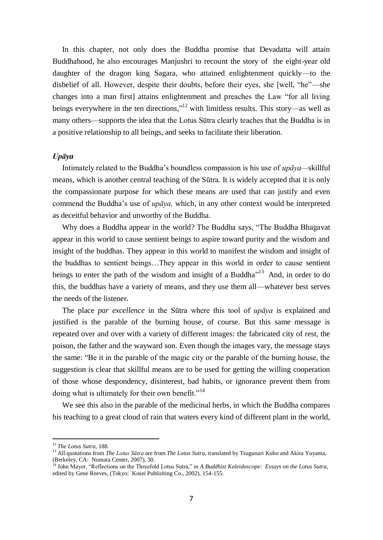In this chapter, not only does the Buddha promise that Devadatta will attain Buddhahood, he also encourages Manjushri to recount the story of the eight-year old daughter of the dragon king Sagara, who attained enlightenment quickly—to the disbelief of all. However, despite their doubts, before their eyes, she [well, "he"—she changes into a man first] attains enlightenment and preaches the Law "for all living beings everywhere in the ten directions,"<sup>12</sup> with limitless results. This story—as well as many others—supports the idea that the Lotus Sūtra clearly teaches that the Buddha is in a positive relationship to all beings, and seeks to facilitate their liberation.

#### *Upāya*

 Intimately related to the Buddha's boundless compassion is his use of *upāya—*skillful means, which is another central teaching of the Sūtra. It is widely accepted that it is only the compassionate purpose for which these means are used that can justify and even commend the Buddha's use of *upāya,* which, in any other context would be interpreted as deceitful behavior and unworthy of the Buddha.

 Why does a Buddha appear in the world? The Buddha says, "The Buddha Bhagavat appear in this world to cause sentient beings to aspire toward purity and the wisdom and insight of the buddhas. They appear in this world to manifest the wisdom and insight of the buddhas to sentient beings…They appear in this world in order to cause sentient beings to enter the path of the wisdom and insight of a Buddha<sup> $13$ </sup> And, in order to do this, the buddhas have a variety of means, and they use them all—whatever best serves the needs of the listener.

 The place *par excellence* in the Sūtra where this tool of *upāya* is explained and justified is the parable of the burning house, of course. But this same message is repeated over and over with a variety of different images: the fabricated city of rest, the poison, the father and the wayward son. Even though the images vary, the message stays the same: "Be it in the parable of the magic city or the parable of the burning house, the suggestion is clear that skillful means are to be used for getting the willing cooperation of those whose despondency, disinterest, bad habits, or ignorance prevent them from doing what is ultimately for their own benefit."<sup>14</sup>

 We see this also in the parable of the medicinal herbs, in which the Buddha compares his teaching to a great cloud of rain that waters every kind of different plant in the world,

<sup>12</sup> *The Lotus Sutra,* 188.

<sup>&</sup>lt;sup>13</sup> All quotations from *The Lotus Sūtra* are from *The Lotus Sutra*, translated by Tsugunari Kubo and Akira Yuyama, (Berkeley, CA: Numata Center, 2007), 30.

<sup>14</sup> John Mayer, "Reflections on the Threefold Lotus Sutra," in *A Buddhist Kaleidoscope: Essays on the Lotus Sutra,*  edited by Gene Reeves, (Tokyo: Kosei Publishing Co., 2002), 154-155.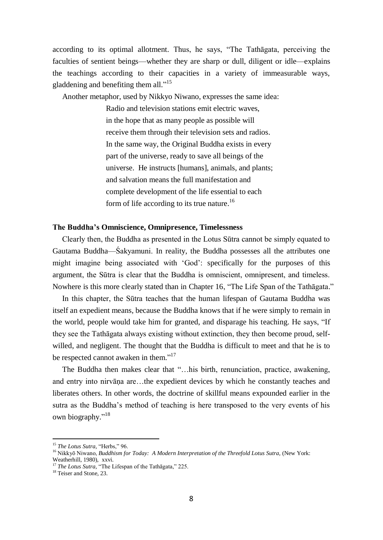according to its optimal allotment. Thus, he says, "The Tathāgata, perceiving the faculties of sentient beings—whether they are sharp or dull, diligent or idle—explains the teachings according to their capacities in a variety of immeasurable ways, gladdening and benefiting them all."<sup>15</sup>

Another metaphor, used by Nikkyo Niwano, expresses the same idea:

Radio and television stations emit electric waves, in the hope that as many people as possible will receive them through their television sets and radios. In the same way, the Original Buddha exists in every part of the universe, ready to save all beings of the universe. He instructs [humans], animals, and plants; and salvation means the full manifestation and complete development of the life essential to each form of life according to its true nature.<sup>16</sup>

## **The Buddha's Omniscience, Omnipresence, Timelessness**

 Clearly then, the Buddha as presented in the Lotus Sūtra cannot be simply equated to Gautama Buddha—Śakyamuni. In reality, the Buddha possesses all the attributes one might imagine being associated with 'God': specifically for the purposes of this argument, the Sūtra is clear that the Buddha is omniscient, omnipresent, and timeless. Nowhere is this more clearly stated than in Chapter 16, "The Life Span of the Tathāgata."

 In this chapter, the Sūtra teaches that the human lifespan of Gautama Buddha was itself an expedient means, because the Buddha knows that if he were simply to remain in the world, people would take him for granted, and disparage his teaching. He says, "If they see the Tathāgata always existing without extinction, they then become proud, selfwilled, and negligent. The thought that the Buddha is difficult to meet and that he is to be respected cannot awaken in them."<sup>17</sup>

 The Buddha then makes clear that "…his birth, renunciation, practice, awakening, and entry into nirvāna are…the expedient devices by which he constantly teaches and liberates others. In other words, the doctrine of skillful means expounded earlier in the sutra as the Buddha's method of teaching is here transposed to the very events of his own biography."<sup>18</sup>

<sup>&</sup>lt;sup>15</sup> The Lotus Sutra, "Herbs," 96.

<sup>&</sup>lt;sup>16</sup> Nikkyō Niwano, *Buddhism for Today: A Modern Interpretation of the Threefold Lotus Sutra, (New York:* Weatherhill, 1980), xxvi.

<sup>&</sup>lt;sup>17</sup> The Lotus Sutra, "The Lifespan of the Tathagata," 225.

<sup>&</sup>lt;sup>18</sup> Teiser and Stone, 23.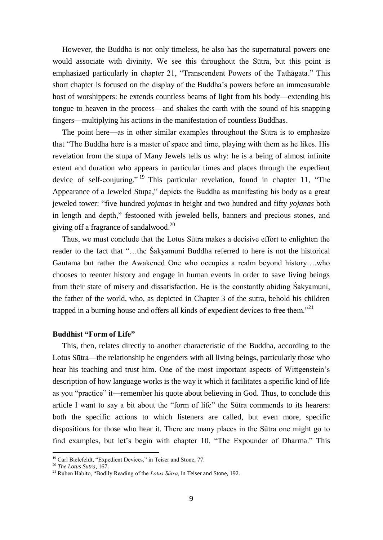However, the Buddha is not only timeless, he also has the supernatural powers one would associate with divinity. We see this throughout the Sūtra, but this point is emphasized particularly in chapter 21, "Transcendent Powers of the Tathāgata." This short chapter is focused on the display of the Buddha's powers before an immeasurable host of worshippers: he extends countless beams of light from his body—extending his tongue to heaven in the process—and shakes the earth with the sound of his snapping fingers—multiplying his actions in the manifestation of countless Buddhas.

 The point here—as in other similar examples throughout the Sūtra is to emphasize that "The Buddha here is a master of space and time, playing with them as he likes. His revelation from the stupa of Many Jewels tells us why: he is a being of almost infinite extent and duration who appears in particular times and places through the expedient device of self-conjuring." <sup>19</sup> This particular revelation, found in chapter 11, "The Appearance of a Jeweled Stupa," depicts the Buddha as manifesting his body as a great jeweled tower: "five hundred *yojanas* in height and two hundred and fifty *yojanas* both in length and depth," festooned with jeweled bells, banners and precious stones, and giving off a fragrance of sandalwood. 20

 Thus, we must conclude that the Lotus Sūtra makes a decisive effort to enlighten the reader to the fact that "…the Śakyamuni Buddha referred to here is not the historical Gautama but rather the Awakened One who occupies a realm beyond history….who chooses to reenter history and engage in human events in order to save living beings from their state of misery and dissatisfaction. He is the constantly abiding Śakyamuni, the father of the world, who, as depicted in Chapter 3 of the sutra, behold his children trapped in a burning house and offers all kinds of expedient devices to free them."<sup>21</sup>

## **Buddhist "Form of Life"**

 This, then, relates directly to another characteristic of the Buddha, according to the Lotus Sūtra—the relationship he engenders with all living beings, particularly those who hear his teaching and trust him. One of the most important aspects of Wittgenstein's description of how language works is the way it which it facilitates a specific kind of life as you "practice" it—remember his quote about believing in God. Thus, to conclude this article I want to say a bit about the "form of life" the Sūtra commends to its hearers: both the specific actions to which listeners are called, but even more, specific dispositions for those who hear it. There are many places in the Sūtra one might go to find examples, but let's begin with chapter 10, "The Expounder of Dharma." This

<sup>&</sup>lt;sup>19</sup> Carl Bielefeldt, "Expedient Devices," in Teiser and Stone, 77.

<sup>20</sup> *The Lotus Sutra,* 167.

<sup>21</sup> Ruben Habito, "Bodily Reading of the *Lotus Sūtra,* in Teiser and Stone, 192.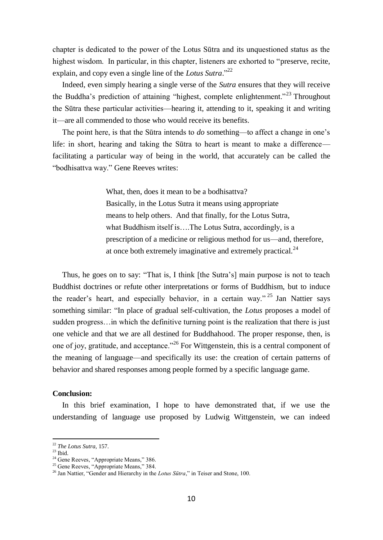chapter is dedicated to the power of the Lotus Sūtra and its unquestioned status as the highest wisdom. In particular, in this chapter, listeners are exhorted to "preserve, recite, explain, and copy even a single line of the *Lotus Sutra*."<sup>22</sup>

 Indeed, even simply hearing a single verse of the *Sutra* ensures that they will receive the Buddha's prediction of attaining "highest, complete enlightenment."<sup>23</sup> Throughout the Sūtra these particular activities—hearing it, attending to it, speaking it and writing it—are all commended to those who would receive its benefits.

 The point here, is that the Sūtra intends to *do* something—to affect a change in one's life: in short, hearing and taking the Sūtra to heart is meant to make a difference facilitating a particular way of being in the world, that accurately can be called the "bodhisattva way." Gene Reeves writes:

> What, then, does it mean to be a bodhisattva? Basically, in the Lotus Sutra it means using appropriate means to help others. And that finally, for the Lotus Sutra, what Buddhism itself is….The Lotus Sutra, accordingly, is a prescription of a medicine or religious method for us—and, therefore, at once both extremely imaginative and extremely practical. $^{24}$

 Thus, he goes on to say: "That is, I think [the Sutra's] main purpose is not to teach Buddhist doctrines or refute other interpretations or forms of Buddhism, but to induce the reader's heart, and especially behavior, in a certain way." <sup>25</sup> Jan Nattier says something similar: "In place of gradual self-cultivation, the *Lotus* proposes a model of sudden progress…in which the definitive turning point is the realization that there is just one vehicle and that we are all destined for Buddhahood. The proper response, then, is one of joy, gratitude, and acceptance."<sup>26</sup> For Wittgenstein, this is a central component of the meaning of language—and specifically its use: the creation of certain patterns of behavior and shared responses among people formed by a specific language game.

## **Conclusion:**

 In this brief examination, I hope to have demonstrated that, if we use the understanding of language use proposed by Ludwig Wittgenstein, we can indeed

<sup>22</sup> *The Lotus Sutra,* 157.

 $^{23}$  Ibid.

<sup>&</sup>lt;sup>24</sup> Gene Reeves, "Appropriate Means," 386.

<sup>&</sup>lt;sup>25</sup> Gene Reeves, "Appropriate Means," 384.

<sup>&</sup>lt;sup>26</sup> Jan Nattier, "Gender and Hierarchy in the *Lotus Sūtra*," in Teiser and Stone, 100.